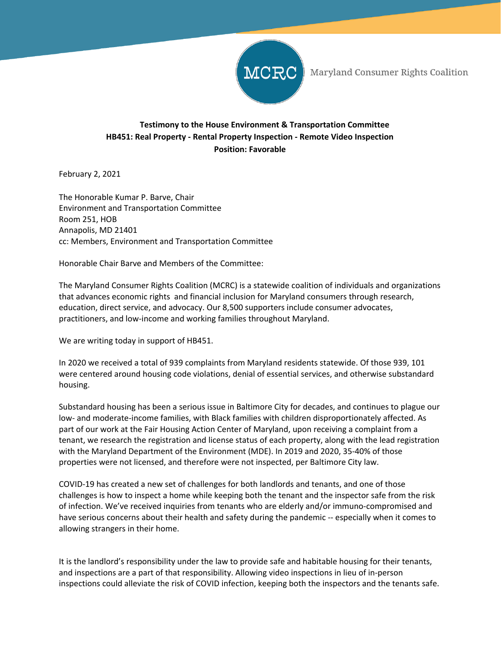

Maryland Consumer Rights Coalition

## **Testimony to the House Environment & Transportation Committee HB451: Real Property - Rental Property Inspection - Remote Video Inspection Position: Favorable**

February 2, 2021

The Honorable Kumar P. Barve, Chair Environment and Transportation Committee Room 251, HOB Annapolis, MD 21401 cc: Members, Environment and Transportation Committee

Honorable Chair Barve and Members of the Committee:

The Maryland Consumer Rights Coalition (MCRC) is a statewide coalition of individuals and organizations that advances economic rights and financial inclusion for Maryland consumers through research, education, direct service, and advocacy. Our 8,500 supporters include consumer advocates, practitioners, and low-income and working families throughout Maryland.

We are writing today in support of HB451.

In 2020 we received a total of 939 complaints from Maryland residents statewide. Of those 939, 101 were centered around housing code violations, denial of essential services, and otherwise substandard housing.

Substandard housing has been a serious issue in Baltimore City for decades, and continues to plague our low- and moderate-income families, with Black families with children disproportionately affected. As part of our work at the Fair Housing Action Center of Maryland, upon receiving a complaint from a tenant, we research the registration and license status of each property, along with the lead registration with the Maryland Department of the Environment (MDE). In 2019 and 2020, 35-40% of those properties were not licensed, and therefore were not inspected, per Baltimore City law.

COVID-19 has created a new set of challenges for both landlords and tenants, and one of those challenges is how to inspect a home while keeping both the tenant and the inspector safe from the risk of infection. We've received inquiries from tenants who are elderly and/or immuno-compromised and have serious concerns about their health and safety during the pandemic -- especially when it comes to allowing strangers in their home.

It is the landlord's responsibility under the law to provide safe and habitable housing for their tenants, and inspections are a part of that responsibility. Allowing video inspections in lieu of in-person inspections could alleviate the risk of COVID infection, keeping both the inspectors and the tenants safe.